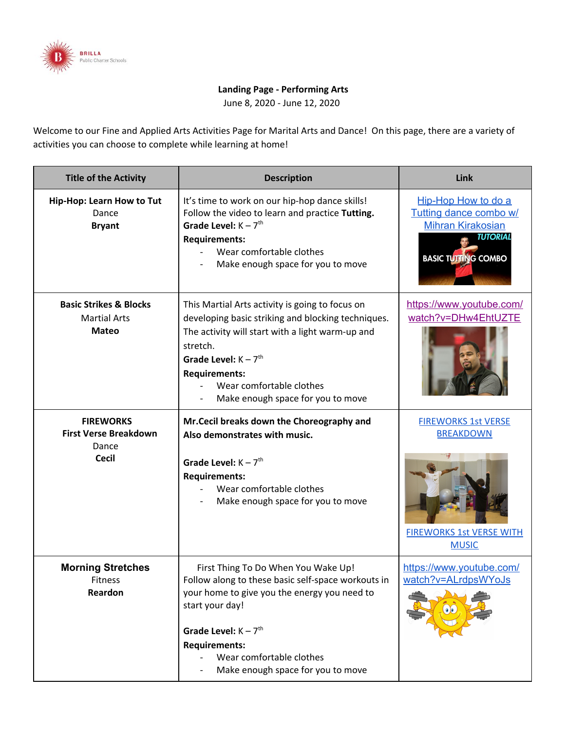

## **Landing Page - Performing Arts**

June 8, 2020 - June 12, 2020

Welcome to our Fine and Applied Arts Activities Page for Marital Arts and Dance! On this page, there are a variety of activities you can choose to complete while learning at home!

| <b>Title of the Activity</b>                                              | <b>Description</b>                                                                                                                                                                                                                                                                                   | Link                                                                                                                       |
|---------------------------------------------------------------------------|------------------------------------------------------------------------------------------------------------------------------------------------------------------------------------------------------------------------------------------------------------------------------------------------------|----------------------------------------------------------------------------------------------------------------------------|
| Hip-Hop: Learn How to Tut<br>Dance<br><b>Bryant</b>                       | It's time to work on our hip-hop dance skills!<br>Follow the video to learn and practice Tutting.<br>Grade Level: $K - 7$ <sup>th</sup><br><b>Requirements:</b><br>Wear comfortable clothes<br>Make enough space for you to move                                                                     | Hip-Hop How to do a<br>Tutting dance combo w/<br><b>Mihran Kirakosian</b><br><b>TUTORIAL</b><br><b>BASIC TUTTING COMBO</b> |
| <b>Basic Strikes &amp; Blocks</b><br><b>Martial Arts</b><br><b>Mateo</b>  | This Martial Arts activity is going to focus on<br>developing basic striking and blocking techniques.<br>The activity will start with a light warm-up and<br>stretch.<br>Grade Level: $K - 7$ <sup>th</sup><br><b>Requirements:</b><br>Wear comfortable clothes<br>Make enough space for you to move | https://www.youtube.com/<br>watch?v=DHw4EhtUZTE                                                                            |
| <b>FIREWORKS</b><br><b>First Verse Breakdown</b><br>Dance<br><b>Cecil</b> | Mr.Cecil breaks down the Choreography and<br>Also demonstrates with music.<br>Grade Level: $K - 7th$<br><b>Requirements:</b><br>Wear comfortable clothes<br>Make enough space for you to move                                                                                                        | <b>FIREWORKS 1st VERSE</b><br><b>BREAKDOWN</b><br><b>FIREWORKS 1st VERSE WITH</b><br><b>MUSIC</b>                          |
| <b>Morning Stretches</b><br><b>Fitness</b><br>Reardon                     | First Thing To Do When You Wake Up!<br>Follow along to these basic self-space workouts in<br>your home to give you the energy you need to<br>start your day!<br>Grade Level: $K - 7$ <sup>th</sup><br><b>Requirements:</b><br>Wear comfortable clothes<br>Make enough space for you to move          | https://www.youtube.com/<br>watch?v=ALrdpsWYoJs                                                                            |